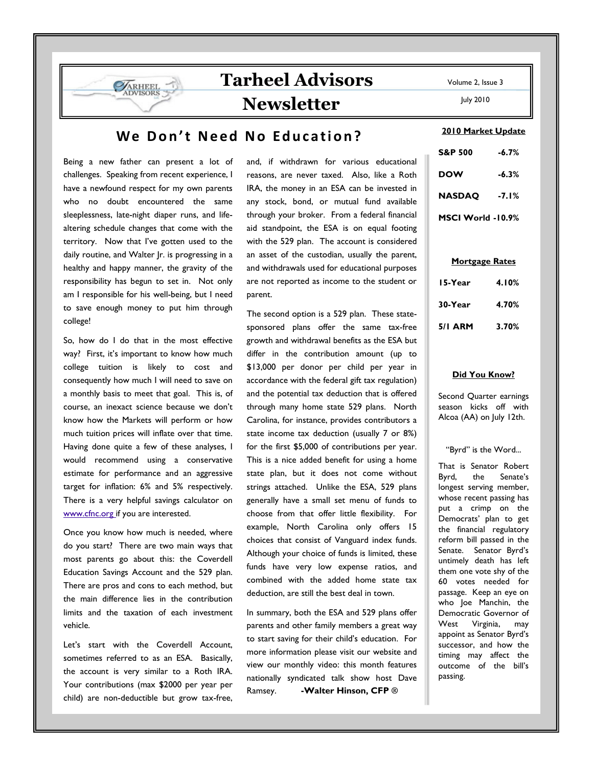# Tarheel Advisors Newsletter

## We Don't Need No Education?

Being a new father can present a lot of challenges. Speaking from recent experience, I have a newfound respect for my own parents who no doubt encountered the same sleeplessness, late-night diaper runs, and lifealtering schedule changes that come with the territory. Now that I've gotten used to the daily routine, and Walter Jr. is progressing in a healthy and happy manner, the gravity of the responsibility has begun to set in. Not only am I responsible for his well-being, but I need to save enough money to put him through college!

**ARHEEL** 

So, how do I do that in the most effective way? First, it's important to know how much college tuition is likely to cost and consequently how much I will need to save on a monthly basis to meet that goal. This is, of course, an inexact science because we don't know how the Markets will perform or how much tuition prices will inflate over that time. Having done quite a few of these analyses, I would recommend using a conservative estimate for performance and an aggressive target for inflation: 6% and 5% respectively. There is a very helpful savings calculator on www.cfnc.org if you are interested.

Once you know how much is needed, where do you start? There are two main ways that most parents go about this: the Coverdell Education Savings Account and the 529 plan. There are pros and cons to each method, but the main difference lies in the contribution limits and the taxation of each investment vehicle.

Let's start with the Coverdell Account, sometimes referred to as an ESA. Basically, the account is very similar to a Roth IRA. Your contributions (max \$2000 per year per child) are non-deductible but grow tax-free,

and, if withdrawn for various educational reasons, are never taxed. Also, like a Roth IRA, the money in an ESA can be invested in any stock, bond, or mutual fund available through your broker. From a federal financial aid standpoint, the ESA is on equal footing with the 529 plan. The account is considered an asset of the custodian, usually the parent, and withdrawals used for educational purposes are not reported as income to the student or parent.

The second option is a 529 plan. These statesponsored plans offer the same tax-free growth and withdrawal benefits as the ESA but differ in the contribution amount (up to \$13,000 per donor per child per year in accordance with the federal gift tax regulation) and the potential tax deduction that is offered through many home state 529 plans. North Carolina, for instance, provides contributors a state income tax deduction (usually 7 or 8%) for the first \$5,000 of contributions per year. This is a nice added benefit for using a home state plan, but it does not come without strings attached. Unlike the ESA, 529 plans generally have a small set menu of funds to choose from that offer little flexibility. For example, North Carolina only offers 15 choices that consist of Vanguard index funds. Although your choice of funds is limited, these funds have very low expense ratios, and combined with the added home state tax deduction, are still the best deal in town.

In summary, both the ESA and 529 plans offer parents and other family members a great way to start saving for their child's education. For more information please visit our website and view our monthly video: this month features nationally syndicated talk show host Dave Ramsey. -Walter Hinson, CFP **®**

Volume 2, Issue 3

July 2010

### 2010 Market Update

| <b>S&amp;P 500</b> | $-6.7%$ |
|--------------------|---------|
| <b>DOW</b>         | $-6.3%$ |
| <b>NASDAQ</b>      | $-7.1%$ |
| MSCI World -10.9%  |         |

### Mortgage Rates

| 15-Year | 4.10% |
|---------|-------|
| 30-Year | 4.70% |
| 5/1 ARM | 3.70% |

### Did You Know?

Second Quarter earnings season kicks off with Alcoa (AA) on July 12th.

"Byrd" is the Word...

That is Senator Robert Byrd, the Senate's longest serving member, whose recent passing has put a crimp on the Democrats' plan to get the financial regulatory reform bill passed in the Senate. Senator Byrd's untimely death has left them one vote shy of the 60 votes needed for passage. Keep an eye on who Joe Manchin, the Democratic Governor of West Virginia, may appoint as Senator Byrd's successor, and how the timing may affect the outcome of the bill's passing.